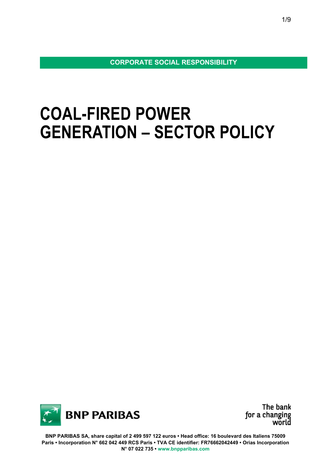**CORPORATE SOCIAL RESPONSIBILITY**

# **COAL-FIRED POWER GENERATION – SECTOR POLICY**



The bank for a changing<br>world

**BNP PARIBAS SA, share capital of 2 499 597 122 euros • Head office: 16 boulevard des Italiens 75009 Paris • Incorporation N° 662 042 449 RCS Paris • TVA CE identifier: FR76662042449 • Orias Incorporation N° 07 022 735 • [www.bnpparibas.com](http://www.bnpparibas.com/)**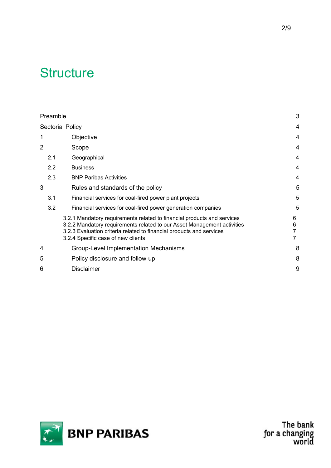# **Structure**

| Preamble                |                                                                                                                                                                                                                                                                  | 3                             |
|-------------------------|------------------------------------------------------------------------------------------------------------------------------------------------------------------------------------------------------------------------------------------------------------------|-------------------------------|
| <b>Sectorial Policy</b> |                                                                                                                                                                                                                                                                  | 4                             |
| 1                       | Objective                                                                                                                                                                                                                                                        | 4                             |
| $\overline{2}$          | Scope                                                                                                                                                                                                                                                            | 4                             |
| 2.1                     | Geographical                                                                                                                                                                                                                                                     | 4                             |
| 2.2                     | <b>Business</b>                                                                                                                                                                                                                                                  | 4                             |
| 2.3                     | <b>BNP Paribas Activities</b>                                                                                                                                                                                                                                    | 4                             |
| 3                       | Rules and standards of the policy                                                                                                                                                                                                                                | 5                             |
| 3.1                     | Financial services for coal-fired power plant projects                                                                                                                                                                                                           | 5                             |
| 3.2                     | Financial services for coal-fired power generation companies                                                                                                                                                                                                     | 5                             |
|                         | 3.2.1 Mandatory requirements related to financial products and services<br>3.2.2 Mandatory requirements related to our Asset Management activities<br>3.2.3 Evaluation criteria related to financial products and services<br>3.2.4 Specific case of new clients | 6<br>6<br>7<br>$\overline{7}$ |
| 4                       | Group-Level Implementation Mechanisms                                                                                                                                                                                                                            | 8                             |
| 5                       | Policy disclosure and follow-up                                                                                                                                                                                                                                  | 8                             |
| 6                       | <b>Disclaimer</b>                                                                                                                                                                                                                                                | 9                             |



The bank<br>for a changing<br>world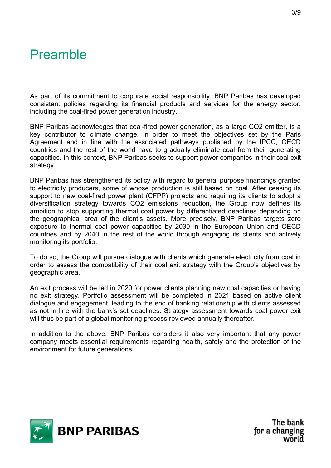# <span id="page-2-0"></span>Preamble

As part of its commitment to corporate social responsibility, BNP Paribas has developed consistent policies regarding its financial products and services for the energy sector, including the coal-fired power generation industry.

BNP Paribas acknowledges that coal-fired power generation, as a large CO2 emitter, is a key contributor to climate change. In order to meet the objectives set by the Paris Agreement and in line with the associated pathways published by the IPCC, OECD countries and the rest of the world have to gradually eliminate coal from their generating capacities. In this context, BNP Paribas seeks to support power companies in their coal exit strategy.

BNP Paribas has strengthened its policy with regard to general purpose financings granted to electricity producers, some of whose production is still based on coal. After ceasing its support to new coal-fired power plant (CFPP) projects and requiring its clients to adopt a diversification strategy towards CO2 emissions reduction, the Group now defines its ambition to stop supporting thermal coal power by differentiated deadlines depending on the geographical area of the client's assets. More precisely, BNP Paribas targets zero exposure to thermal coal power capacities by 2030 in the European Union and OECD countries and by 2040 in the rest of the world through engaging its clients and actively monitoring its portfolio.

To do so, the Group will pursue dialogue with clients which generate electricity from coal in order to assess the compatibility of their coal exit strategy with the Group's objectives by geographic area.

An exit process will be led in 2020 for power clients planning new coal capacities or having no exit strategy. Portfolio assessment will be completed in 2021 based on active client dialogue and engagement, leading to the end of banking relationship with clients assessed as not in line with the bank's set deadlines. Strategy assessment towards coal power exit will thus be part of a global monitoring process reviewed annually thereafter.

In addition to the above, BNP Paribas considers it also very important that any power company meets essential requirements regarding health, safety and the protection of the environment for future generations.

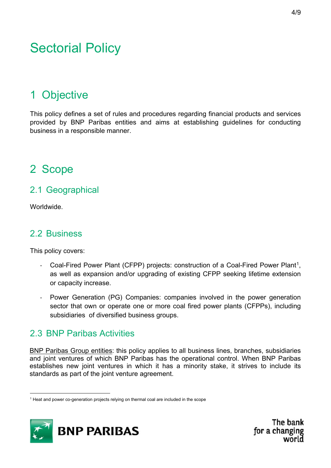# <span id="page-3-0"></span>Sectorial Policy

# <span id="page-3-1"></span>1 Objective

This policy defines a set of rules and procedures regarding financial products and services provided by BNP Paribas entities and aims at establishing guidelines for conducting business in a responsible manner.

# <span id="page-3-2"></span>2 Scope

#### <span id="page-3-3"></span>2.1 Geographical

Worldwide.

#### <span id="page-3-4"></span>2.2 Business

This policy covers:

- Coal-Fired Power Plant (CFPP) projects: construction of a Coal-Fired Power Plant<sup>1</sup>, as well as expansion and/or upgrading of existing CFPP seeking lifetime extension or capacity increase.
- Power Generation (PG) Companies: companies involved in the power generation sector that own or operate one or more coal fired power plants (CFPPs), including subsidiaries of diversified business groups.

#### <span id="page-3-5"></span>2.3 BNP Paribas Activities

BNP Paribas Group entities: this policy applies to all business lines, branches, subsidiaries and joint ventures of which BNP Paribas has the operational control. When BNP Paribas establishes new joint ventures in which it has a minority stake, it strives to include its standards as part of the joint venture agreement.

<span id="page-3-6"></span><sup>&</sup>lt;sup>1</sup> Heat and power co-generation projects relying on thermal coal are included in the scope

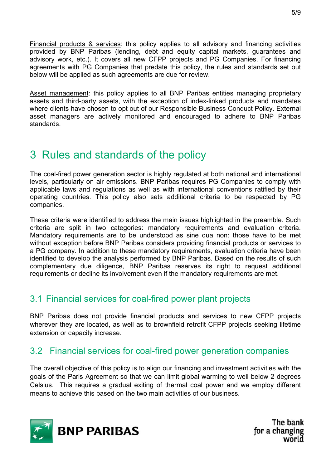Financial products & services: this policy applies to all advisory and financing activities provided by BNP Paribas (lending, debt and equity capital markets, guarantees and advisory work, etc.). It covers all new CFPP projects and PG Companies. For financing agreements with PG Companies that predate this policy, the rules and standards set out below will be applied as such agreements are due for review.

Asset management: this policy applies to all BNP Paribas entities managing proprietary assets and third-party assets, with the exception of index-linked products and mandates where clients have chosen to opt out of our Responsible Business Conduct Policy. External asset managers are actively monitored and encouraged to adhere to BNP Paribas standards.

# <span id="page-4-0"></span>3 Rules and standards of the policy

The coal-fired power generation sector is highly regulated at both national and international levels, particularly on air emissions. BNP Paribas requires PG Companies to comply with applicable laws and regulations as well as with international conventions ratified by their operating countries. This policy also sets additional criteria to be respected by PG companies.

These criteria were identified to address the main issues highlighted in the preamble. Such criteria are split in two categories: mandatory requirements and evaluation criteria. Mandatory requirements are to be understood as sine qua non: those have to be met without exception before BNP Paribas considers providing financial products or services to a PG company. In addition to these mandatory requirements, evaluation criteria have been identified to develop the analysis performed by BNP Paribas. Based on the results of such complementary due diligence, BNP Paribas reserves its right to request additional requirements or decline its involvement even if the mandatory requirements are met.

#### <span id="page-4-1"></span>3.1 Financial services for coal-fired power plant projects

BNP Paribas does not provide financial products and services to new CFPP projects wherever they are located, as well as to brownfield retrofit CFPP projects seeking lifetime extension or capacity increase.

#### <span id="page-4-2"></span>3.2 Financial services for coal-fired power generation companies

The overall objective of this policy is to align our financing and investment activities with the goals of the Paris Agreement so that we can limit global warming to well below 2 degrees Celsius. This requires a gradual exiting of thermal coal power and we employ different means to achieve this based on the two main activities of our business.

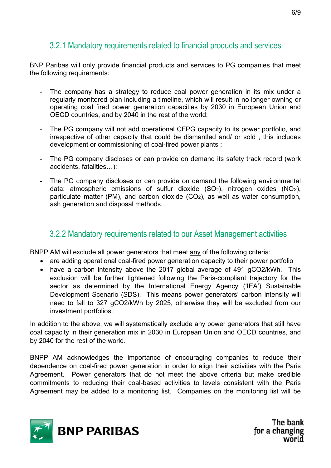#### <span id="page-5-0"></span>3.2.1 Mandatory requirements related to financial products and services

BNP Paribas will only provide financial products and services to PG companies that meet the following requirements:

- The company has a strategy to reduce coal power generation in its mix under a regularly monitored plan including a timeline, which will result in no longer owning or operating coal fired power generation capacities by 2030 in European Union and OECD countries, and by 2040 in the rest of the world;
- The PG company will not add operational CFPG capacity to its power portfolio, and irrespective of other capacity that could be dismantled and/ or sold ; this includes development or commissioning of coal-fired power plants ;
- The PG company discloses or can provide on demand its safety track record (work accidents, fatalities…);
- The PG company discloses or can provide on demand the following environmental data: atmospheric emissions of sulfur dioxide  $(SO_2)$ , nitrogen oxides  $(NOx)$ , particulate matter (PM), and carbon dioxide  $(CO<sub>2</sub>)$ , as well as water consumption, ash generation and disposal methods.

#### <span id="page-5-1"></span>3.2.2 Mandatory requirements related to our Asset Management activities

BNPP AM will exclude all power generators that meet any of the following criteria:

- are adding operational coal-fired power generation capacity to their power portfolio
- have a carbon intensity above the 2017 global average of 491 gCO2/kWh. This exclusion will be further tightened following the Paris-compliant trajectory for the sector as determined by the International Energy Agency ('IEA') Sustainable Development Scenario (SDS). This means power generators' carbon intensity will need to fall to 327 gCO2/kWh by 2025, otherwise they will be excluded from our investment portfolios.

In addition to the above, we will systematically exclude any power generators that still have coal capacity in their generation mix in 2030 in European Union and OECD countries, and by 2040 for the rest of the world.

BNPP AM acknowledges the importance of encouraging companies to reduce their dependence on coal-fired power generation in order to align their activities with the Paris Agreement. Power generators that do not meet the above criteria but make credible commitments to reducing their coal-based activities to levels consistent with the Paris Agreement may be added to a monitoring list. Companies on the monitoring list will be

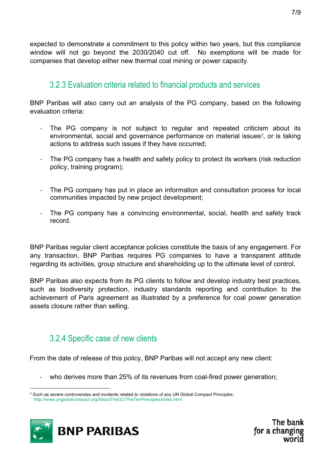expected to demonstrate a commitment to this policy within two years, but this compliance window will not go beyond the 2030/2040 cut off. No exemptions will be made for companies that develop either new thermal coal mining or power capacity.

#### <span id="page-6-0"></span>3.2.3 Evaluation criteria related to financial products and services

BNP Paribas will also carry out an analysis of the PG company, based on the following evaluation criteria:

- The PG company is not subject to regular and repeated criticism about its environmental, social and governance performance on material issues<sup>2</sup>, or is taking actions to address such issues if they have occurred;
- The PG company has a health and safety policy to protect its workers (risk reduction policy, training program);
- The PG company has put in place an information and consultation process for local communities impacted by new project development;
- The PG company has a convincing environmental, social, health and safety track record.

BNP Paribas regular client acceptance policies constitute the basis of any engagement. For any transaction, BNP Paribas requires PG companies to have a transparent attitude regarding its activities, group structure and shareholding up to the ultimate level of control.

BNP Paribas also expects from its PG clients to follow and develop industry best practices, such as biodiversity protection, industry standards reporting and contribution to the achievement of Paris agreement as illustrated by a preference for coal power generation assets closure rather than selling.

#### <span id="page-6-1"></span>3.2.4 Specific case of new clients

From the date of release of this policy, BNP Paribas will not accept any new client:

who derives more than 25% of its revenues from coal-fired power generation;

<span id="page-6-2"></span><sup>&</sup>lt;sup>2</sup> Such as severe controversies and incidents related to violations of any UN Global Compact Principles: <http://www.unglobalcompact.org/AboutTheGC/TheTenPrinciples/index.html>

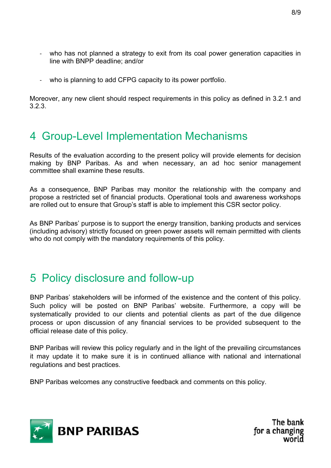- who has not planned a strategy to exit from its coal power generation capacities in line with BNPP deadline; and/or
- who is planning to add CFPG capacity to its power portfolio.

Moreover, any new client should respect requirements in this policy as defined in 3.2.1 and 3.2.3.

# <span id="page-7-0"></span>4 Group-Level Implementation Mechanisms

Results of the evaluation according to the present policy will provide elements for decision making by BNP Paribas. As and when necessary, an ad hoc senior management committee shall examine these results.

As a consequence, BNP Paribas may monitor the relationship with the company and propose a restricted set of financial products. Operational tools and awareness workshops are rolled out to ensure that Group's staff is able to implement this CSR sector policy.

As BNP Paribas' purpose is to support the energy transition, banking products and services (including advisory) strictly focused on green power assets will remain permitted with clients who do not comply with the mandatory requirements of this policy.

### <span id="page-7-1"></span>5 Policy disclosure and follow-up

BNP Paribas' stakeholders will be informed of the existence and the content of this policy. Such policy will be posted on BNP Paribas' website. Furthermore, a copy will be systematically provided to our clients and potential clients as part of the due diligence process or upon discussion of any financial services to be provided subsequent to the official release date of this policy.

BNP Paribas will review this policy regularly and in the light of the prevailing circumstances it may update it to make sure it is in continued alliance with national and international regulations and best practices.

BNP Paribas welcomes any constructive feedback and comments on this policy.